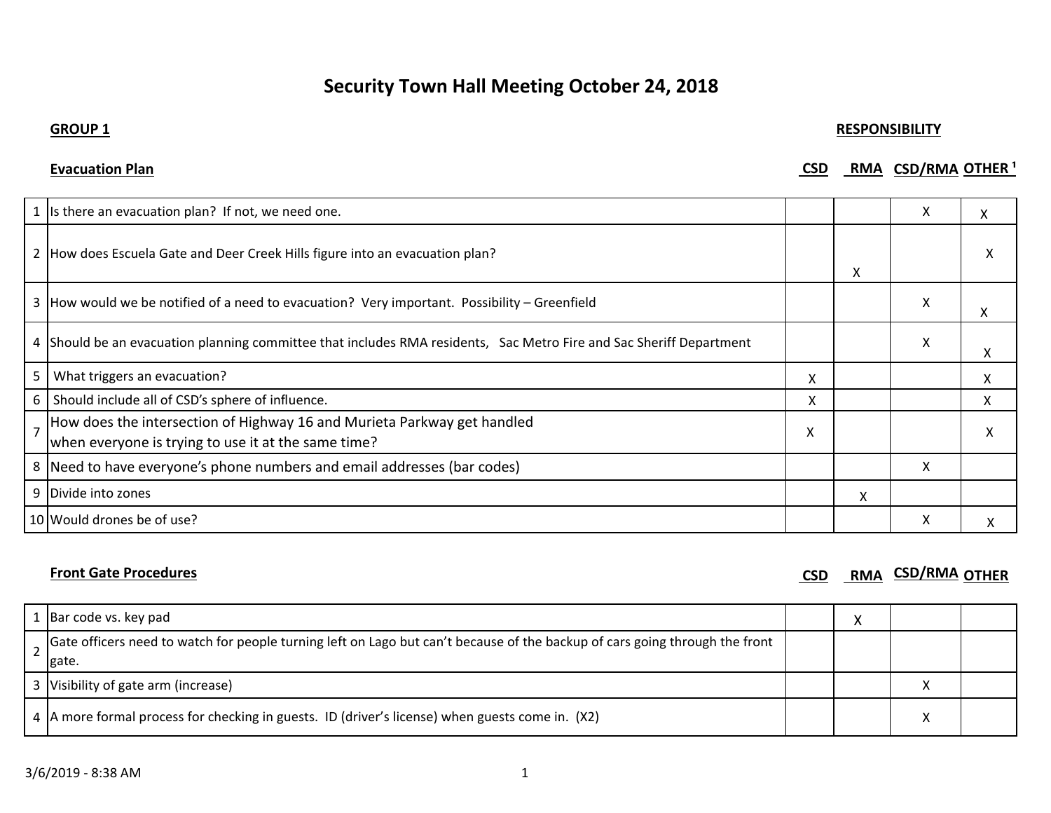# **Security Town Hall Meeting October 24, 2018**

## **GROUP 1 RESPONSIBILITY**

| <b>Evacuation Plan</b> | CSD | RMA CSD/RMA OTHER <sup>1</sup> |
|------------------------|-----|--------------------------------|
|                        |     |                                |

|                | 1 Is there an evacuation plan? If not, we need one.                                                                            |   |   | X | X |
|----------------|--------------------------------------------------------------------------------------------------------------------------------|---|---|---|---|
|                | 2 How does Escuela Gate and Deer Creek Hills figure into an evacuation plan?                                                   |   | X |   |   |
|                | 3 How would we be notified of a need to evacuation? Very important. Possibility - Greenfield                                   |   |   | X | x |
|                | 4 Should be an evacuation planning committee that includes RMA residents, Sac Metro Fire and Sac Sheriff Department            |   |   | X | х |
| 5              | What triggers an evacuation?                                                                                                   | X |   |   | x |
|                | 6 Should include all of CSD's sphere of influence.                                                                             | X |   |   | х |
| $\overline{7}$ | How does the intersection of Highway 16 and Murieta Parkway get handled<br>when everyone is trying to use it at the same time? | X |   |   |   |
|                | 8 Need to have everyone's phone numbers and email addresses (bar codes)                                                        |   |   | x |   |
|                | 9 Divide into zones                                                                                                            |   | χ |   |   |
|                | 10 Would drones be of use?                                                                                                     |   |   | x |   |

**Front Gate Procedures** CSD **RMA CSD RMA CSD RMA CSD RMA CSD RMA CSD** *RMA* **CSD** *RMA* **CSD** *RMA* **CSD** *RMA* **CSD** *RMA* **CSD** *RMA* **CSD** *RMA* **CSD** *RMA* **CSD** *RMA* **CSD** *RMA*

|  | Bar code vs. key pad                                                                                                        |  |  |
|--|-----------------------------------------------------------------------------------------------------------------------------|--|--|
|  | Gate officers need to watch for people turning left on Lago but can't because of the backup of cars going through the front |  |  |
|  | gate.                                                                                                                       |  |  |
|  | 3 Visibility of gate arm (increase)                                                                                         |  |  |
|  | 4 A more formal process for checking in guests. ID (driver's license) when guests come in. (X2)                             |  |  |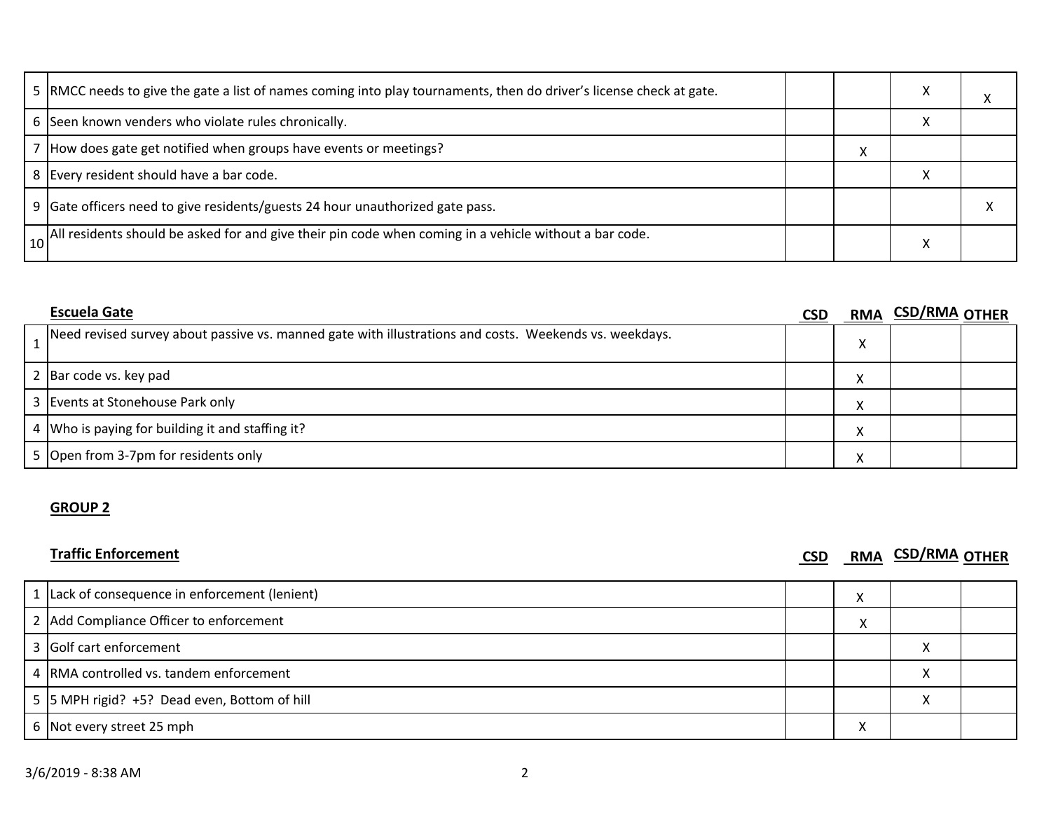| 5  RMCC needs to give the gate a list of names coming into play tournaments, then do driver's license check at gate. |  |  |
|----------------------------------------------------------------------------------------------------------------------|--|--|
| 6 Seen known venders who violate rules chronically.                                                                  |  |  |
| 7 How does gate get notified when groups have events or meetings?                                                    |  |  |
| 8 Every resident should have a bar code.                                                                             |  |  |
| 9 Gate officers need to give residents/guests 24 hour unauthorized gate pass.                                        |  |  |
| . All residents should be asked for and give their pin code when coming in a vehicle without a bar code.             |  |  |

| <b>Escuela Gate</b>                                                                                    | CSD |           | RMA CSD/RMA OTHER |  |
|--------------------------------------------------------------------------------------------------------|-----|-----------|-------------------|--|
| Need revised survey about passive vs. manned gate with illustrations and costs. Weekends vs. weekdays. |     |           |                   |  |
| 2 Bar code vs. key pad                                                                                 |     | $\lambda$ |                   |  |
| 3 Events at Stonehouse Park only                                                                       |     |           |                   |  |
| 4   Who is paying for building it and staffing it?                                                     |     |           |                   |  |
| 5 Open from 3-7pm for residents only                                                                   |     |           |                   |  |

# **GROUP 2**

**Traffic Enforcement CSD RMA CSD/RMA OTHER** 

| 1 Lack of consequence in enforcement (lenient) | ↗ |  |
|------------------------------------------------|---|--|
| 2 Add Compliance Officer to enforcement        |   |  |
| 3 Golf cart enforcement                        |   |  |
| 4 RMA controlled vs. tandem enforcement        |   |  |
| 5 5 MPH rigid? +5? Dead even, Bottom of hill   |   |  |
| 6 Not every street 25 mph                      | ∧ |  |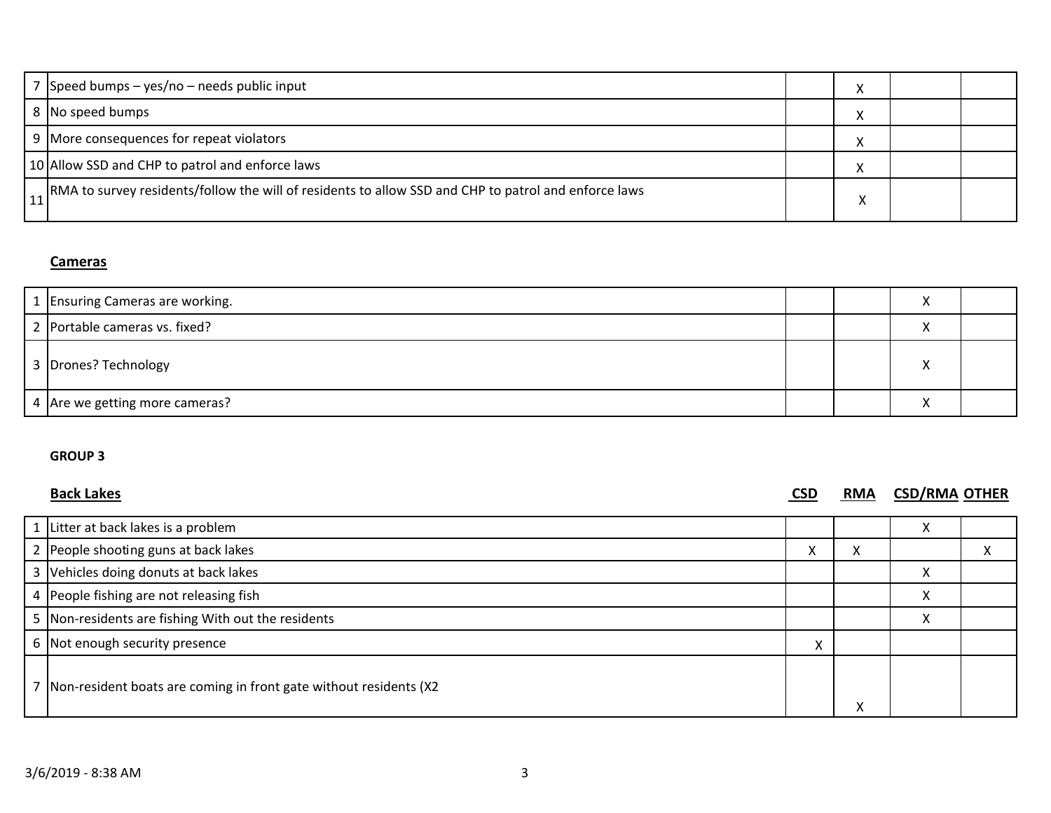| Speed bumps - yes/no - needs public input                                                             |   |  |
|-------------------------------------------------------------------------------------------------------|---|--|
| 8 No speed bumps                                                                                      |   |  |
| 9 More consequences for repeat violators                                                              |   |  |
| 10 Allow SSD and CHP to patrol and enforce laws                                                       |   |  |
| [RMA to survey residents/follow the will of residents to allow SSD and CHP to patrol and enforce laws | v |  |

# **Cameras**

| 1 Ensuring Cameras are working. |  |  |
|---------------------------------|--|--|
| 2 Portable cameras vs. fixed?   |  |  |
| 3 Drones? Technology            |  |  |
| 4 Are we getting more cameras?  |  |  |

## **GROUP 3**

**Back Lakes CSD RMA CSD/RMA OTHER**

| 1 Litter at back lakes is a problem                               |                   |        | $\lambda$         |           |
|-------------------------------------------------------------------|-------------------|--------|-------------------|-----------|
| 2 People shooting guns at back lakes                              | $\mathbf{v}$<br>∧ | ∧      |                   | $\lambda$ |
| 3 Vehicles doing donuts at back lakes                             |                   |        | ∧                 |           |
| 4 People fishing are not releasing fish                           |                   |        | $\checkmark$<br>∧ |           |
| 5 Non-residents are fishing With out the residents                |                   |        | $\sim$            |           |
| 6 Not enough security presence                                    |                   |        |                   |           |
| Non-resident boats are coming in front gate without residents (X2 |                   | v<br>∧ |                   |           |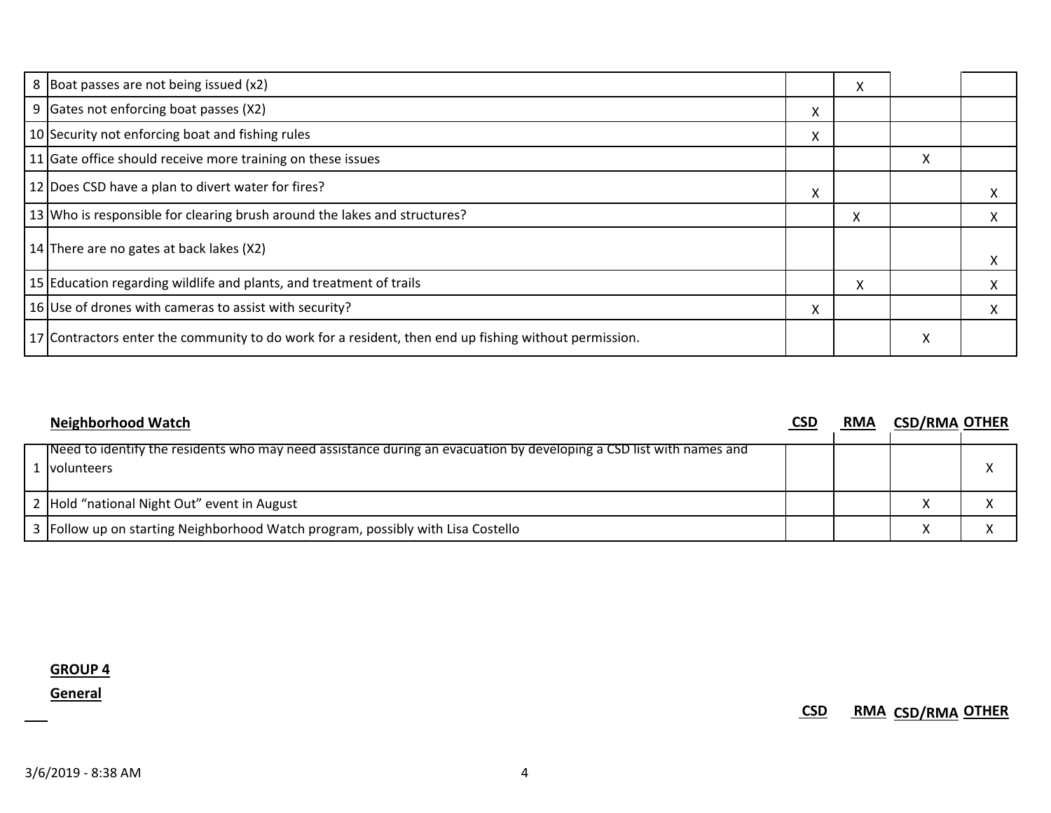| 8 Boat passes are not being issued (x2)                                                               |   | X |   |   |
|-------------------------------------------------------------------------------------------------------|---|---|---|---|
| 9 Gates not enforcing boat passes (X2)                                                                | x |   |   |   |
| 10 Security not enforcing boat and fishing rules                                                      | л |   |   |   |
| 11 Gate office should receive more training on these issues                                           |   |   | X |   |
| 12 Does CSD have a plan to divert water for fires?                                                    | X |   |   | х |
| 13 Who is responsible for clearing brush around the lakes and structures?                             |   | X |   | X |
| 14 There are no gates at back lakes (X2)                                                              |   |   |   | X |
| 15 Education regarding wildlife and plants, and treatment of trails                                   |   | X |   | X |
| 16 Use of drones with cameras to assist with security?                                                | x |   |   | X |
| 17 Contractors enter the community to do work for a resident, then end up fishing without permission. |   |   | X |   |

| <b>Neighborhood Watch</b>                                                                                                             | <b>CSD</b> | <b>RMA</b> | <b>CSD/RMA OTHER</b> |  |
|---------------------------------------------------------------------------------------------------------------------------------------|------------|------------|----------------------|--|
| Theed to identify the residents who may need assistance during an evacuation by developing a CSD list with names and<br>. Ivolunteers |            |            |                      |  |
| 2 Hold "national Night Out" event in August                                                                                           |            |            |                      |  |
| 3 Follow up on starting Neighborhood Watch program, possibly with Lisa Costello                                                       |            |            |                      |  |

**GROUP 4**

**General**

**CSD RMA CSD/RMA OTHER**